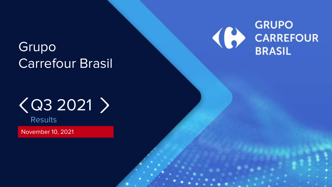# Grupo Carrefour Brasil



# $\langle$  Q3 2021  $\rangle$

**Results** 

November 10, 2021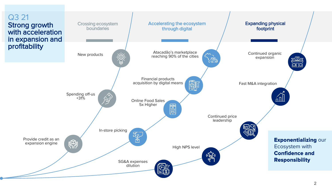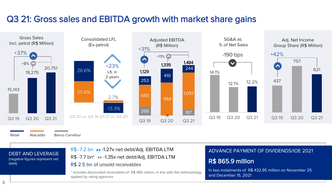### Q3 21: Gross sales and EBITDA growth with market share gains



Retail Atacadão Banco Carrefour

DEBT AND LEVERAGE (negative figures represent net

### R\$ -7.2 bn >> -1.27x net debt/Adj. EBITDA LTM ADVANCE PAYMENT OF DIVIDENDS/IOE 2021 R\$ -7.7 bn\* »» -1.35x net debt/Adj. EBITDA LTM R\$ 2.5 bn of unsold receivables

\* Includes discounted receivables of R\$ 480 million, in line with the methodology applied by rating agencies

### R\$ 865.9 million

In two instalments of R\$ 432.95 million on November 25 and December 15, 2021

debt)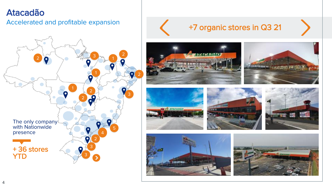### Atacadão

### Accelerated and profitable expansion



## +7 organic stores in Q3 21













--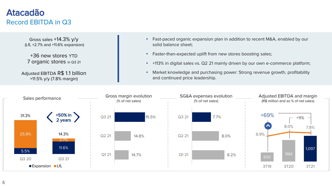### Atacadão Record EBITDA in Q3

Gross sales +14.3% y/y (LfL +2.7% and +11.6% expansion)

+36 new stores YTD 7 organic stores in Q3 21

Adjusted EBITDA R\$ 1.1 billion +11.5% y/y (7.8% margin)

- Fast-paced organic expansion plan in addition to recent M&A, enabled by our solid balance sheet;
- Faster-than-expected uplift from new stores boosting sales;
- +113% in digital sales vs. Q2 21 mainly driven by our own e-commerce platform;
- Market knowledge and purchasing power: Strong revenue growth, profitability and continued price leadership.

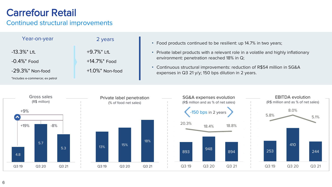## Carrefour Retail

### Continued structural improvements

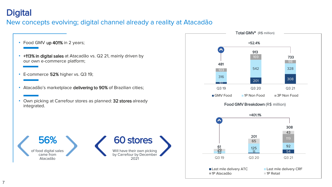### **Digital**

### New concepts evolving; digital channel already a reality at Atacadão

- Food GMV up 401% in 2 years;
- +113% in digital sales at Atacadão vs. Q2 21, mainly driven by our own e-commerce platform;
- E-commerce 52% higher vs. Q3 19;
- Atacadão's marketplace delivering to 90% of Brazilian cities;
- Own picking at Carrefour stores as planned: 32 stores already integrated.



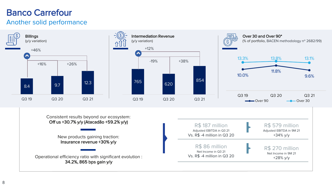## Banco Carrefour

### Another solid performance

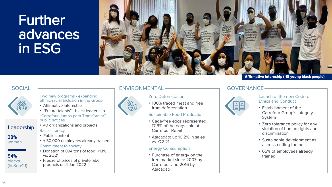## Further advances in ESG





Leadership

38% women

54% blacks (in Sep/21)

#### Two new programs - expanding ethnic-racial inclusion in the Group

- Affirmative Internship
- "Future talents" black leadership

"Carrefour Juntos para Transformar" public notices

- 40 organizations and projects Racial literacy
- Public content
- + 30,000 employees already trained Commitment to society
- Donation of 894 tons of food: +18% vs. 2Q21
- Freeze of prices of private label products until Jan 2022

### SOCIAL ENVIRONMENTAL GOVERNANCE



### Zero Deforestation

• 100% traced meat and free from deforestation

#### Sustainable Food Production

- Cage-free eggs represented 17.5% of the eggs sold at Carrefour Retail
- Atacadão: up 10.2% in sales vs. Q2 21

#### Energy Comsumption

• Purchase of energy on the free market since 2007 by Carrefour and 2016 by Atacadão



#### Launch of the new Code of Ethics and Conduct

- Establishment of the Carrefour Group's Integrity System
- Zero tolerance policy for any violation of human rights and discrimination
- Sustainable development as a cross-cutting theme
- 65% of employees already trained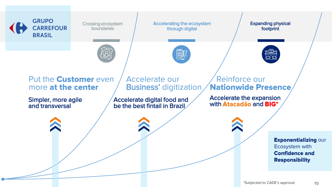